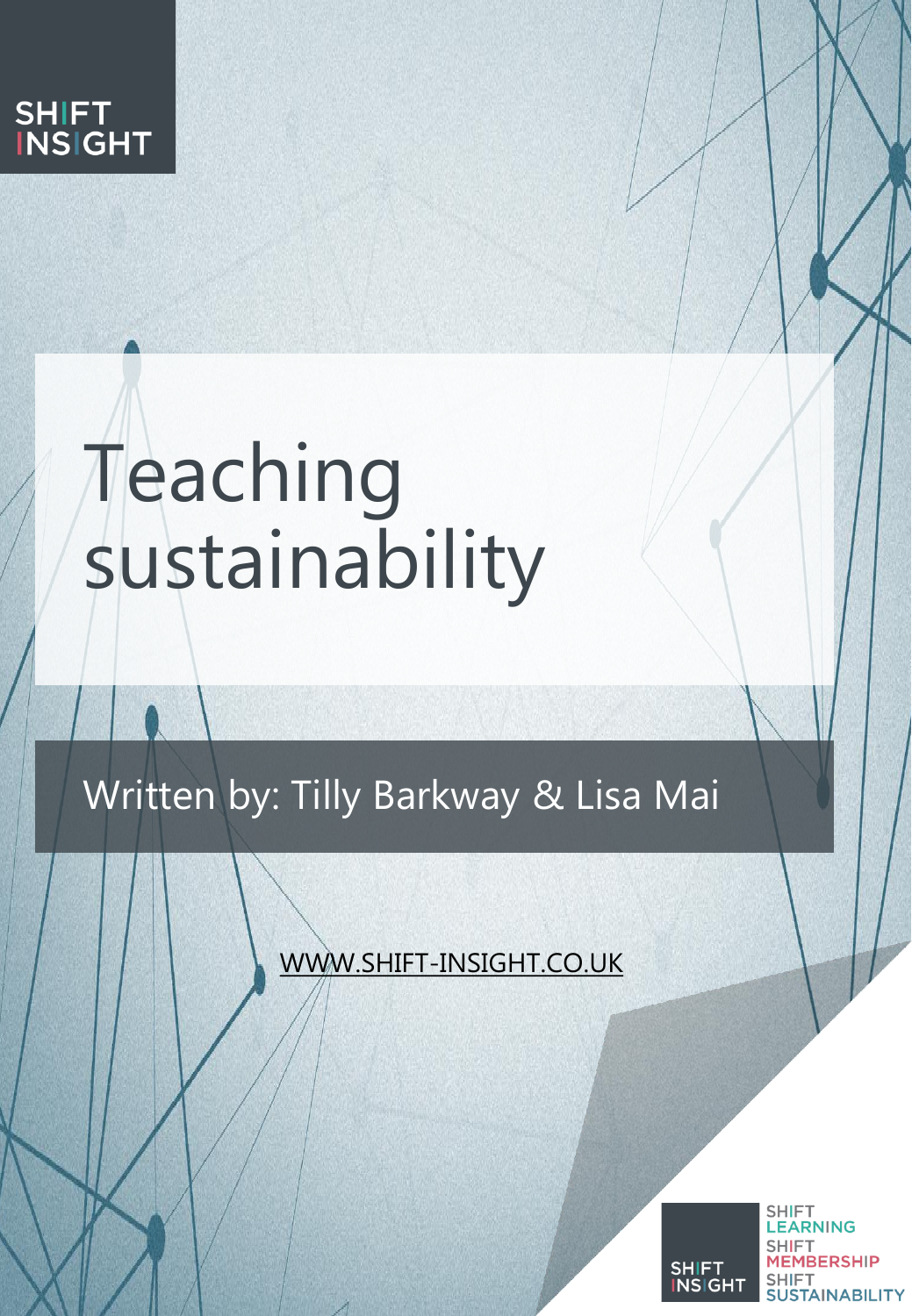

# Teaching sustainability

Written by: Tilly Barkway & Lisa Mai

WWW.SHIFT-INSIGHT.CO.UK



**SHIFT** LEARNING **SHIFT MEMBERSHIP SHIFT SUSTAINABILITY**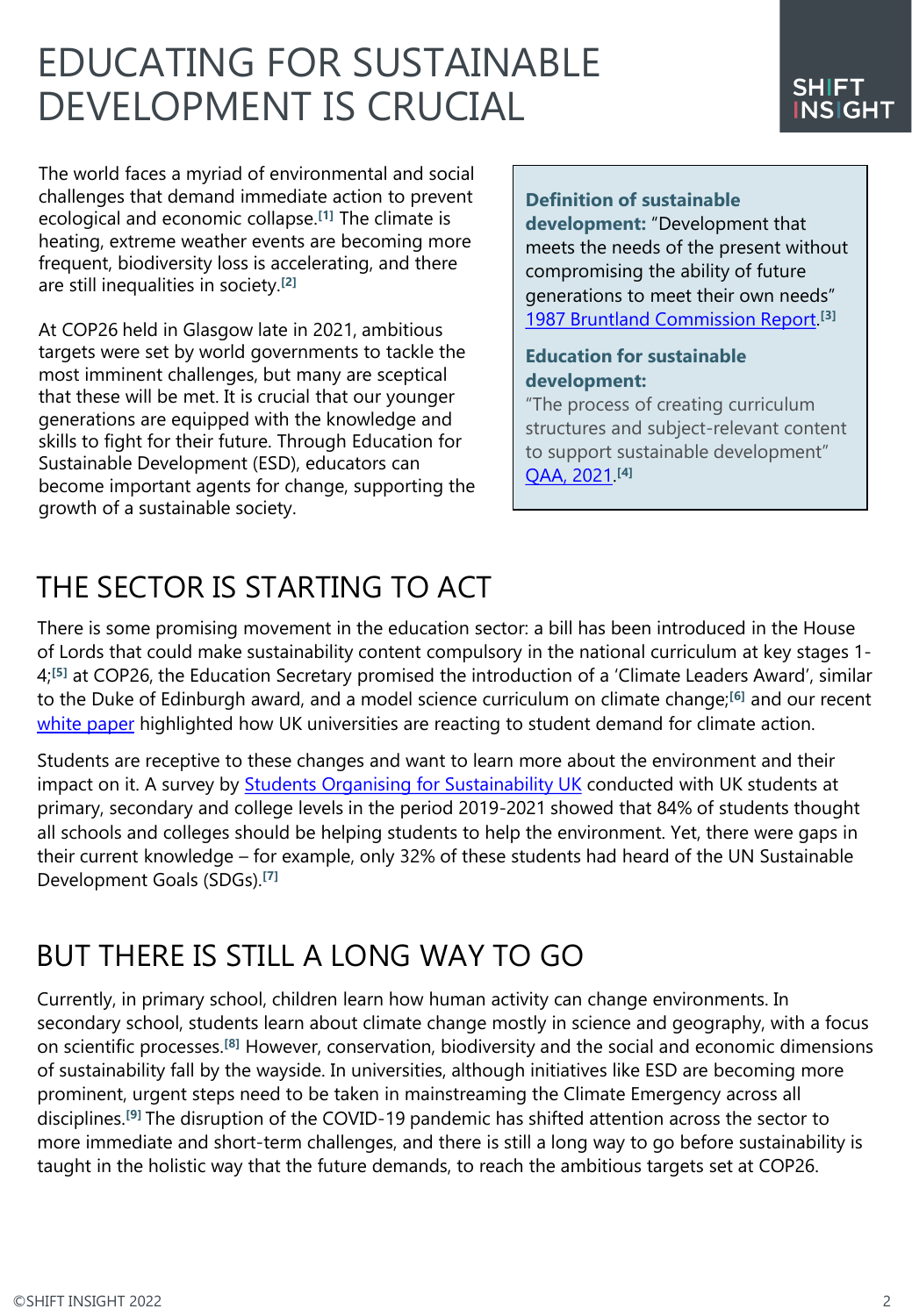# EDUCATING FOR SUSTAINABLE DEVELOPMENT IS CRUCIAL

The world faces a myriad of environmental and social challenges that demand immediate action to prevent ecological and economic collapse.**[1]** The climate is heating, extreme weather events are becoming more frequent, biodiversity loss is accelerating, and there are still inequalities in society.**[2]**

At COP26 held in Glasgow late in 2021, ambitious targets were set by world governments to tackle the most imminent challenges, but many are sceptical that these will be met. It is crucial that our younger generations are equipped with the knowledge and skills to fight for their future. Through Education for Sustainable Development (ESD), educators can become important agents for change, supporting the growth of a sustainable society.

#### **Definition of sustainable**

**development:** "Development that meets the needs of the present without compromising the ability of future generations to meet their own needs" [1987 Bruntland Commission Report.](https://www.un.org/esa/sustdev/csd/csd15/media/backgrounder_brundtland.pdf) **[3]**

#### **Education for sustainable development:**

"The process of creating curriculum structures and subject-relevant content to support sustainable development" [QAA, 2021](https://sustainability.glos.ac.uk/wp-content/uploads/2021/07/education-for-sustainable-development-guidance-executive-summary-2.pdf). **[4]**

# THE SECTOR IS STARTING TO ACT

There is some promising movement in the education sector: a bill has been introduced in the House of Lords that could make sustainability content compulsory in the national curriculum at key stages 1- 4;**[5]** at COP26, the Education Secretary promised the introduction of a 'Climate Leaders Award', similar to the Duke of Edinburgh award, and a model science curriculum on climate change;**[6]** and our recent [white paper](https://shift-sustainability.co.uk/sustainability-research-reports/green-campus/) highlighted how UK universities are reacting to student demand for climate action.

Students are receptive to these changes and want to learn more about the environment and their impact on it. A survey by [Students Organising for Sustainability UK](https://www.sos-uk.org/) conducted with UK students at primary, secondary and college levels in the period 2019-2021 showed that 84% of students thought all schools and colleges should be helping students to help the environment. Yet, there were gaps in their current knowledge – for example, only 32% of these students had heard of the UN Sustainable Development Goals (SDGs).**[7]**

### BUT THERE IS STILL A LONG WAY TO GO

Currently, in primary school, children learn how human activity can change environments. In secondary school, students learn about climate change mostly in science and geography, with a focus on scientific processes.**[8]** However, conservation, biodiversity and the social and economic dimensions of sustainability fall by the wayside. In universities, although initiatives like ESD are becoming more prominent, urgent steps need to be taken in mainstreaming the Climate Emergency across all disciplines.**[9]** The disruption of the COVID-19 pandemic has shifted attention across the sector to more immediate and short-term challenges, and there is still a long way to go before sustainability is taught in the holistic way that the future demands, to reach the ambitious targets set at COP26.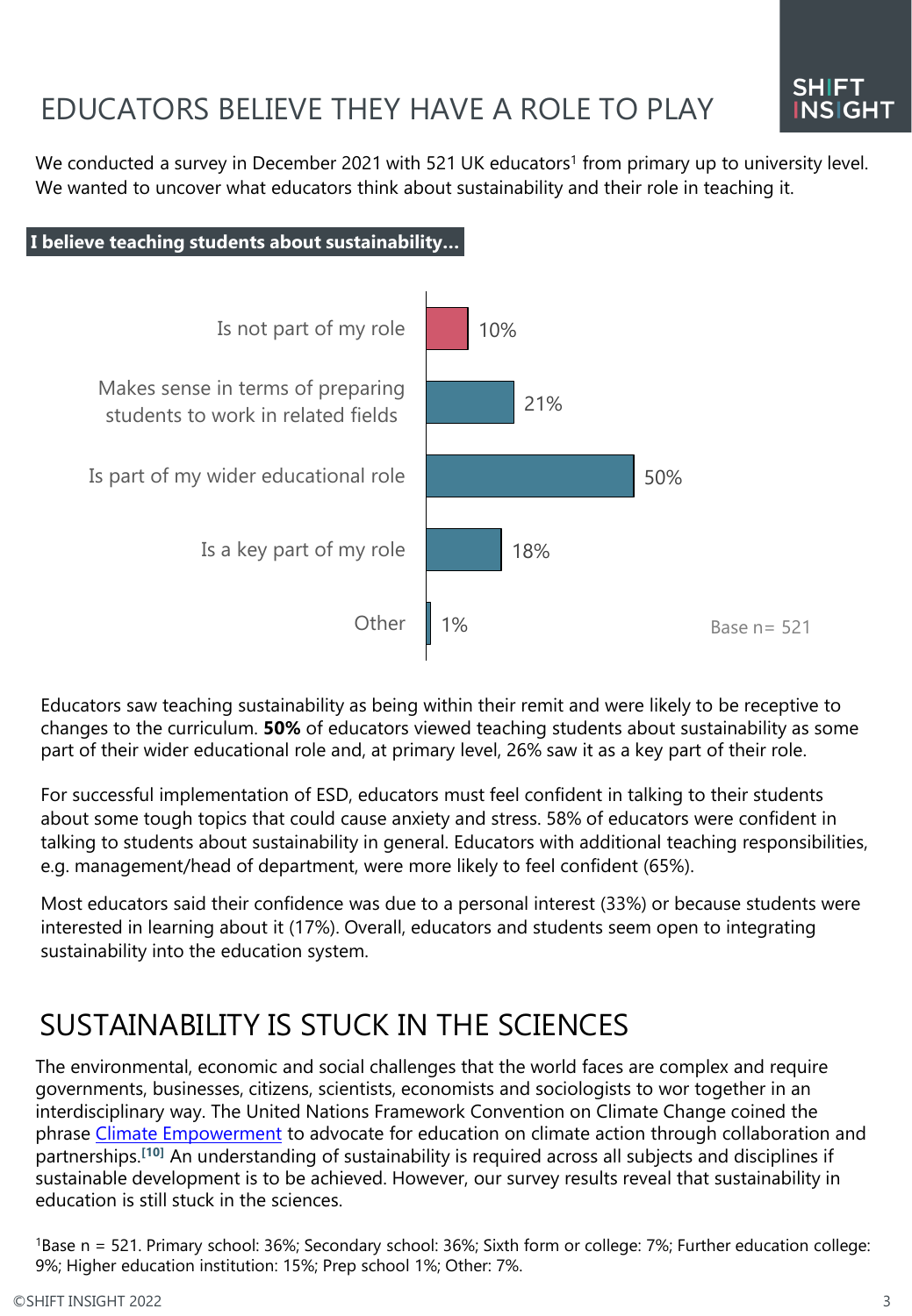# EDUCATORS BELIEVE THEY HAVE A ROLE TO PLAY

We conducted a survey in December 2021 with 521 UK educators<sup>1</sup> from primary up to university level. We wanted to uncover what educators think about sustainability and their role in teaching it.



Educators saw teaching sustainability as being within their remit and were likely to be receptive to changes to the curriculum. **50%** of educators viewed teaching students about sustainability as some part of their wider educational role and, at primary level, 26% saw it as a key part of their role.

For successful implementation of ESD, educators must feel confident in talking to their students about some tough topics that could cause anxiety and stress. 58% of educators were confident in talking to students about sustainability in general. Educators with additional teaching responsibilities, e.g. management/head of department, were more likely to feel confident (65%).

Most educators said their confidence was due to a personal interest (33%) or because students were interested in learning about it (17%). Overall, educators and students seem open to integrating sustainability into the education system.

## SUSTAINABILITY IS STUCK IN THE SCIENCES

The environmental, economic and social challenges that the world faces are complex and require governments, businesses, citizens, scientists, economists and sociologists to wor together in an interdisciplinary way. The United Nations Framework Convention on Climate Change coined the phrase [Climate Empowerment](https://cop23.unfccc.int/about-us/partnerships/current-calls-for-partnerships/call-to-partner-in-promoting-action-for-climate-empowerment#eq-1) to advocate for education on climate action through collaboration and partnerships.**[10]** An understanding of sustainability is required across all subjects and disciplines if sustainable development is to be achieved. However, our survey results reveal that sustainability in education is still stuck in the sciences.

<sup>1</sup>Base n = 521. Primary school: 36%; Secondary school: 36%; Sixth form or college: 7%; Further education college: 9%; Higher education institution: 15%; Prep school 1%; Other: 7%.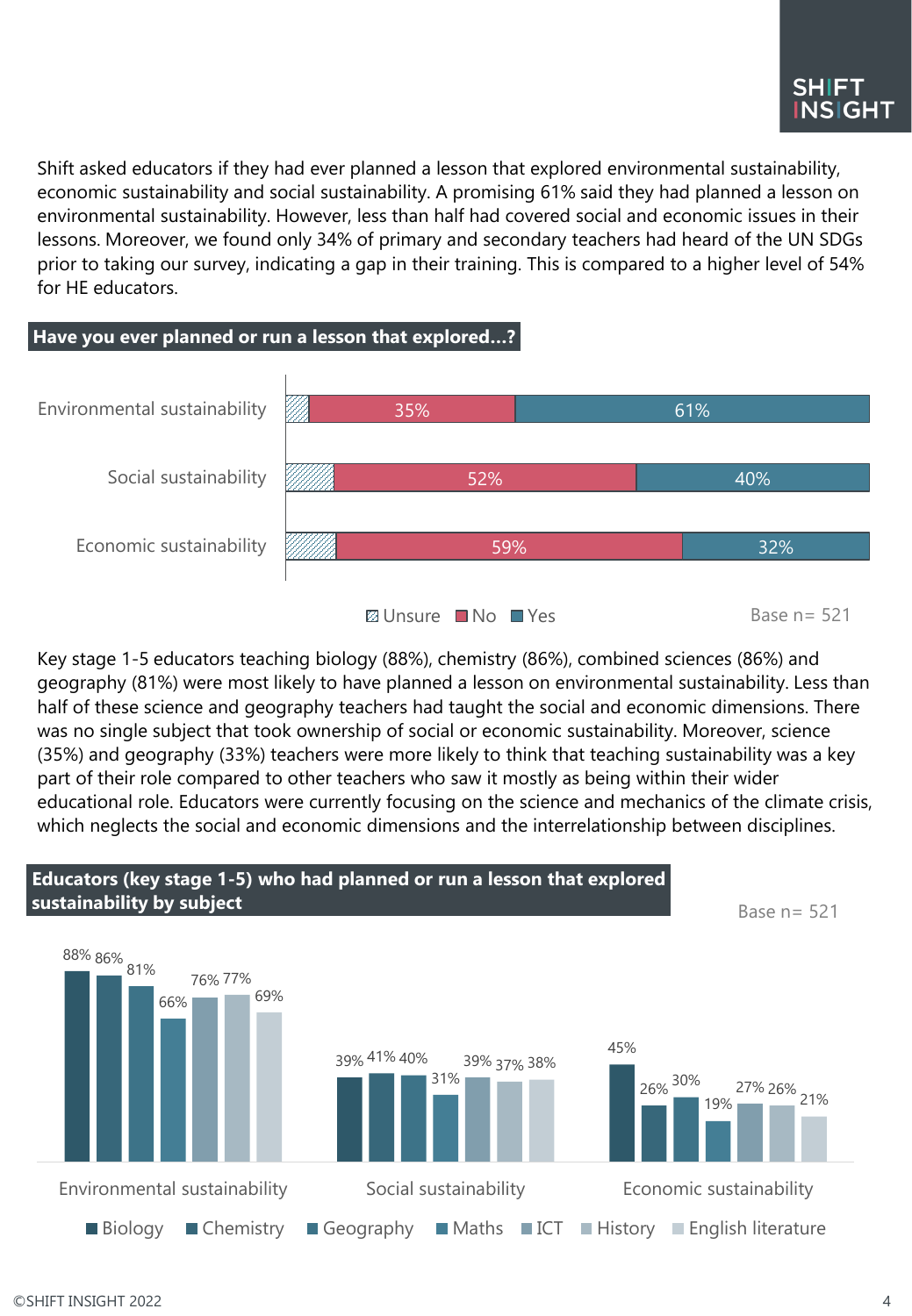Shift asked educators if they had ever planned a lesson that explored environmental sustainability, economic sustainability and social sustainability. A promising 61% said they had planned a lesson on environmental sustainability. However, less than half had covered social and economic issues in their lessons. Moreover, we found only 34% of primary and secondary teachers had heard of the UN SDGs prior to taking our survey, indicating a gap in their training. This is compared to a higher level of 54% for HE educators.



Key stage 1-5 educators teaching biology (88%), chemistry (86%), combined sciences (86%) and geography (81%) were most likely to have planned a lesson on environmental sustainability. Less than half of these science and geography teachers had taught the social and economic dimensions. There was no single subject that took ownership of social or economic sustainability. Moreover, science (35%) and geography (33%) teachers were more likely to think that teaching sustainability was a key part of their role compared to other teachers who saw it mostly as being within their wider educational role. Educators were currently focusing on the science and mechanics of the climate crisis, which neglects the social and economic dimensions and the interrelationship between disciplines.

#### 88% 86% 81% 39% 41% 40% 45% 26% 30% 66% 31% 19% 76% 77% 39% 37% 38% 27% 26% 21% 69% Environmental sustainability Social sustainability Economic sustainability **Educators (key stage 1-5) who had planned or run a lesson that explored sustainability by subject** Base  $n=$  521

 $\Box$  Biology  $\Box$  Chemistry  $\Box$  Geography  $\Box$  Maths  $\Box$  ICT  $\Box$  History  $\Box$  English literature

#### ©SHIFT INSIGHT 2022 4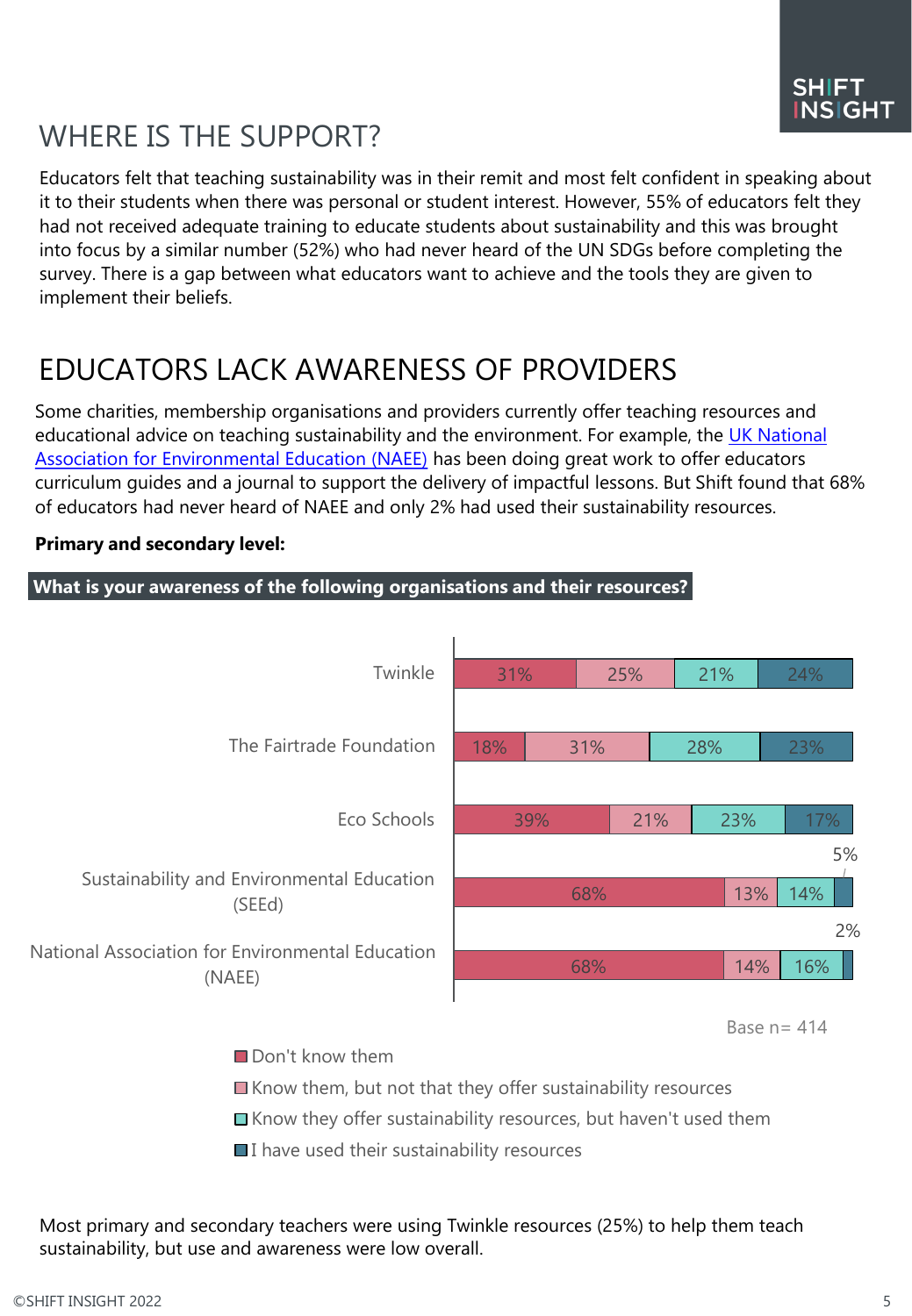# WHERE IS THE SUPPORT?

Educators felt that teaching sustainability was in their remit and most felt confident in speaking about it to their students when there was personal or student interest. However, 55% of educators felt they had not received adequate training to educate students about sustainability and this was brought into focus by a similar number (52%) who had never heard of the UN SDGs before completing the survey. There is a gap between what educators want to achieve and the tools they are given to implement their beliefs.

# EDUCATORS LACK AWARENESS OF PROVIDERS

Some charities, membership organisations and providers currently offer teaching resources and [educational advice on teaching sustainability and the environment. For example, the UK National](https://naee.org.uk/)  Association for Environmental Education (NAEE) has been doing great work to offer educators curriculum guides and a journal to support the delivery of impactful lessons. But Shift found that 68% of educators had never heard of NAEE and only 2% had used their sustainability resources.



#### **Primary and secondary level:**

Don't know them

- $\blacksquare$  Know them, but not that they offer sustainability resources
- Know they offer sustainability resources, but haven't used them
- $\blacksquare$  I have used their sustainability resources

Most primary and secondary teachers were using Twinkle resources (25%) to help them teach sustainability, but use and awareness were low overall.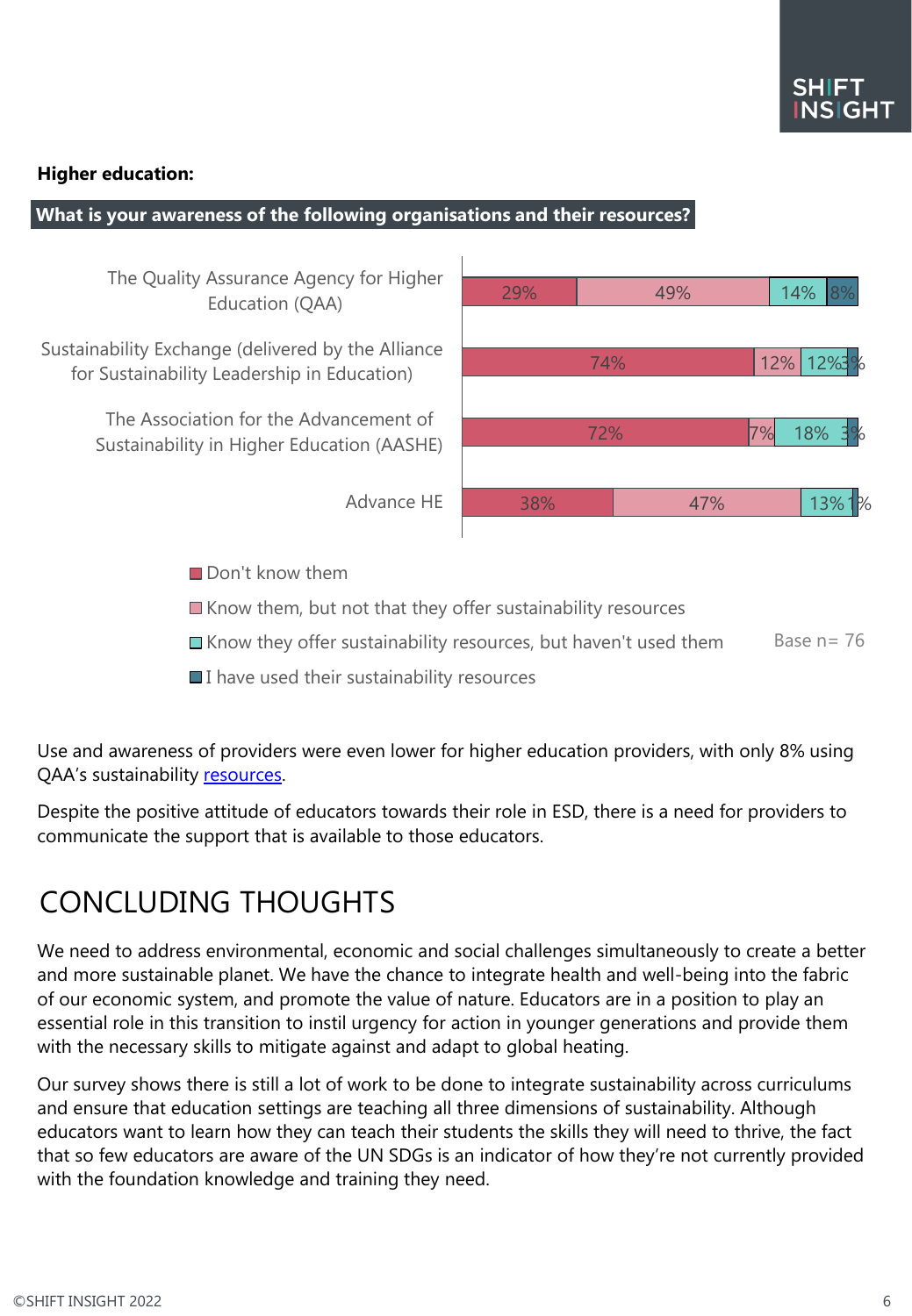#### **Higher education:**

#### **What is your awareness of the following organisations and their resources?**

The Quality Assurance Agency for Higher Education (QAA)

Sustainability Exchange (delivered by the Alliance for Sustainability Leadership in Education)

> The Association for the Advancement of Sustainability in Higher Education (AASHE)

> > Advance HE

| 29% |     | 49% |    | 14% 8%            |
|-----|-----|-----|----|-------------------|
|     |     |     |    |                   |
|     | 74% |     |    | 12% 12%3%         |
|     | 72% |     | 7% | 18% 3%            |
|     |     |     |    |                   |
| 38% |     | 47% |    | 13%1 <sup>%</sup> |

Don't know them

 $\blacksquare$  Know them, but not that they offer sustainability resources

- $\blacksquare$  Know they offer sustainability resources, but haven't used them Base  $n= 76$
- $\blacksquare$  I have used their sustainability resources

Use and awareness of providers were even lower for higher education providers, with only 8% using QAA's sustainability [resources.](https://www.qaa.ac.uk/quality-code/education-for-sustainable-development)

Despite the positive attitude of educators towards their role in ESD, there is a need for providers to communicate the support that is available to those educators.

### CONCLUDING THOUGHTS

We need to address environmental, economic and social challenges simultaneously to create a better and more sustainable planet. We have the chance to integrate health and well-being into the fabric of our economic system, and promote the value of nature. Educators are in a position to play an essential role in this transition to instil urgency for action in younger generations and provide them with the necessary skills to mitigate against and adapt to global heating.

Our survey shows there is still a lot of work to be done to integrate sustainability across curriculums and ensure that education settings are teaching all three dimensions of sustainability. Although educators want to learn how they can teach their students the skills they will need to thrive, the fact that so few educators are aware of the UN SDGs is an indicator of how they're not currently provided with the foundation knowledge and training they need.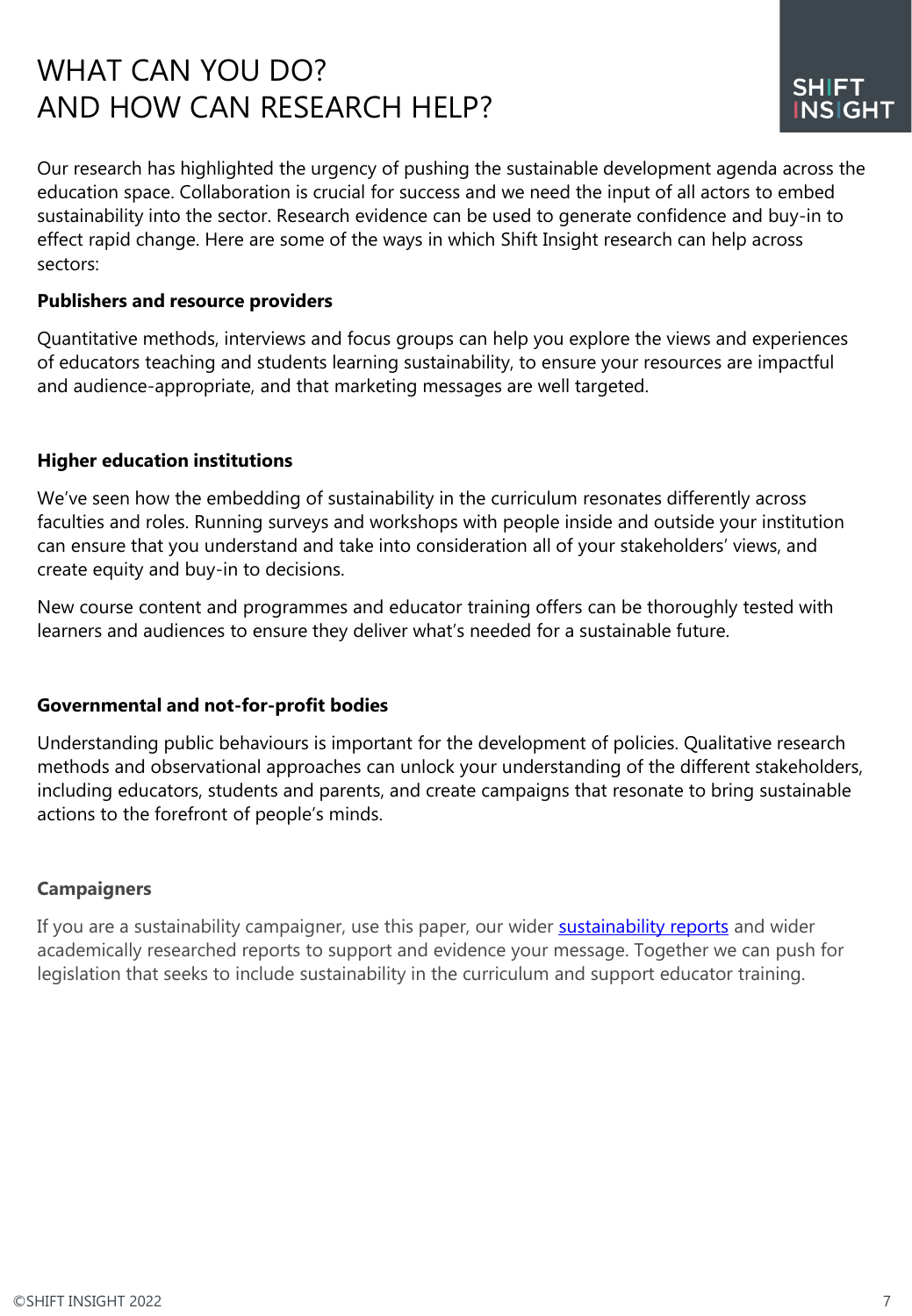## WHAT CAN YOU DO? AND HOW CAN RESEARCH HELP?

Our research has highlighted the urgency of pushing the sustainable development agenda across the education space. Collaboration is crucial for success and we need the input of all actors to embed sustainability into the sector. Research evidence can be used to generate confidence and buy-in to effect rapid change. Here are some of the ways in which Shift Insight research can help across sectors:

#### **Publishers and resource providers**

Quantitative methods, interviews and focus groups can help you explore the views and experiences of educators teaching and students learning sustainability, to ensure your resources are impactful and audience-appropriate, and that marketing messages are well targeted.

#### **Higher education institutions**

We've seen how the embedding of sustainability in the curriculum resonates differently across faculties and roles. Running surveys and workshops with people inside and outside your institution can ensure that you understand and take into consideration all of your stakeholders' views, and create equity and buy-in to decisions.

New course content and programmes and educator training offers can be thoroughly tested with learners and audiences to ensure they deliver what's needed for a sustainable future.

#### **Governmental and not-for-profit bodies**

Understanding public behaviours is important for the development of policies. Qualitative research methods and observational approaches can unlock your understanding of the different stakeholders, including educators, students and parents, and create campaigns that resonate to bring sustainable actions to the forefront of people's minds.

#### **Campaigners**

If you are a sustainability campaigner, use this paper, our wider **[sustainability reports](https://shift-sustainability.co.uk/sustainability-research-reports/)** and wider academically researched reports to support and evidence your message. Together we can push for legislation that seeks to include sustainability in the curriculum and support educator training.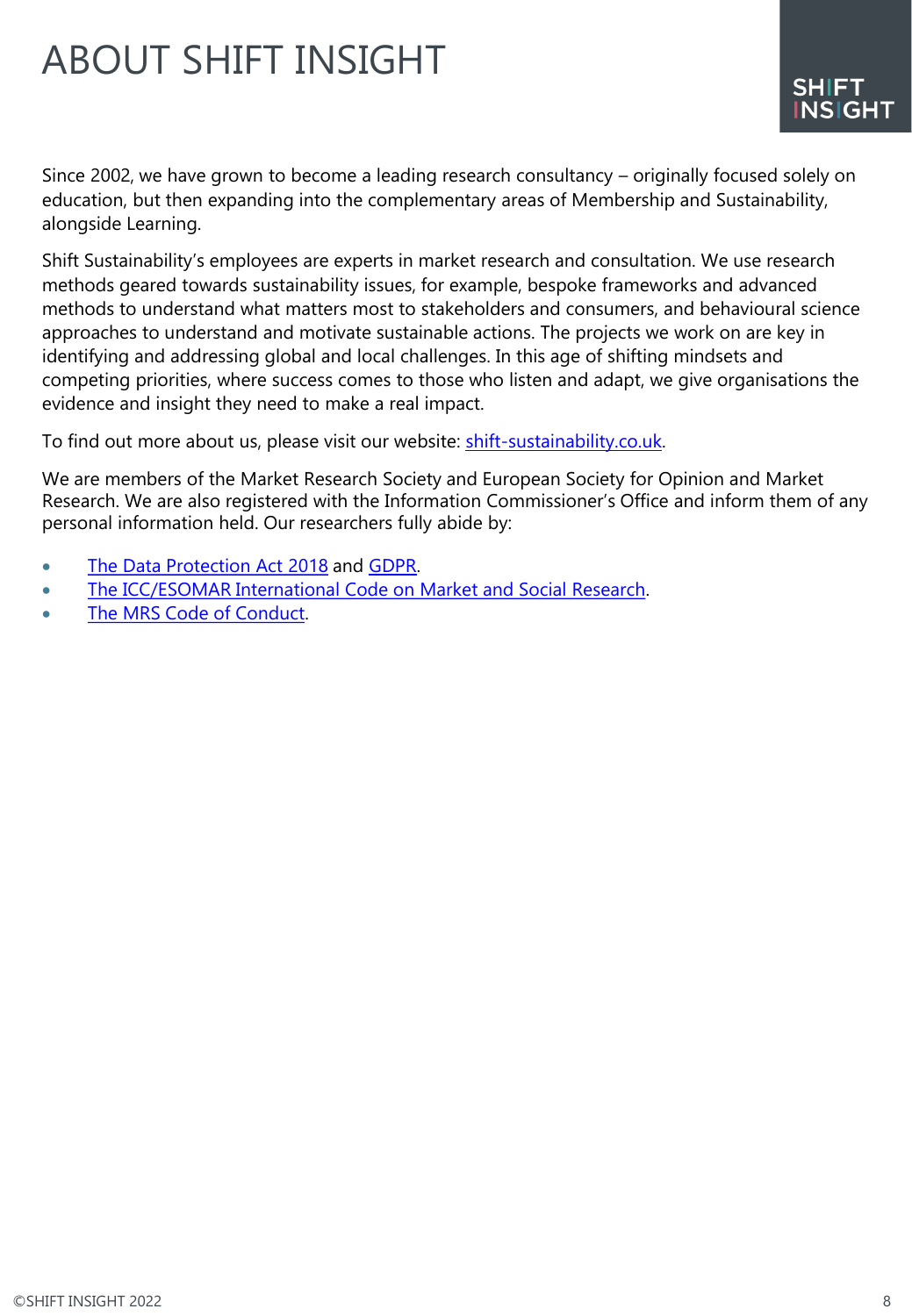# ABOUT SHIFT INSIGHT

Since 2002, we have grown to become a leading research consultancy – originally focused solely on education, but then expanding into the complementary areas of Membership and Sustainability, alongside Learning.

Shift Sustainability's employees are experts in market research and consultation. We use research methods geared towards sustainability issues, for example, bespoke frameworks and advanced methods to understand what matters most to stakeholders and consumers, and behavioural science approaches to understand and motivate sustainable actions. The projects we work on are key in identifying and addressing global and local challenges. In this age of shifting mindsets and competing priorities, where success comes to those who listen and adapt, we give organisations the evidence and insight they need to make a real impact.

To find out more about us, please visit our website: [shift-sustainability.co.uk](https://www.shift-sustainability.co.uk/).

We are members of the Market Research Society and European Society for Opinion and Market Research. We are also registered with the Information Commissioner's Office and inform them of any personal information held. Our researchers fully abide by:

- [The Data Protection Act 2018](https://www.gov.uk/data-protection) and [GDPR.](https://www.gov.uk/government/publications/guide-to-the-general-data-protection-regulation)
- [The ICC/ESOMAR International Code on Market and Social Research.](https://www.esomar.org/uploads/public/knowledge-and-standards/codes-and-guidelines/ESOMAR_ICC-ESOMAR_Code_English.pdf)
- [The MRS Code of Conduct.](https://www.mrs.org.uk/standards/code-of-conduct)

SHIFT **NSIGHT**